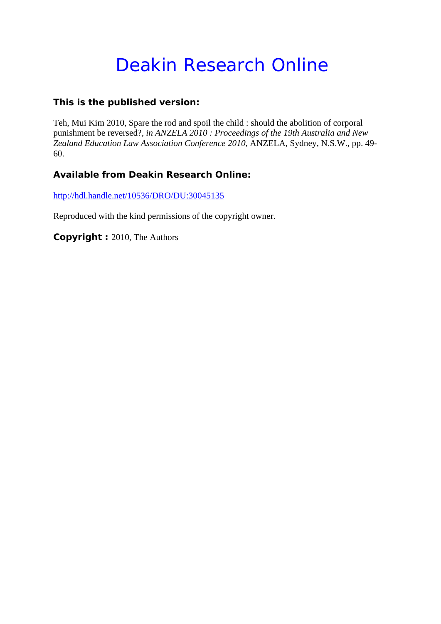# Deakin Research Online

## **This is the published version:**

Teh, Mui Kim 2010, Spare the rod and spoil the child : should the abolition of corporal punishment be reversed?*, in ANZELA 2010 : Proceedings of the 19th Australia and New Zealand Education Law Association Conference 2010*, ANZELA, Sydney, N.S.W., pp. 49- 60.

## **Available from Deakin Research Online:**

http://hdl.handle.net/10536/DRO/DU:30045135

Reproduced with the kind permissions of the copyright owner.

**Copyright :** 2010, The Authors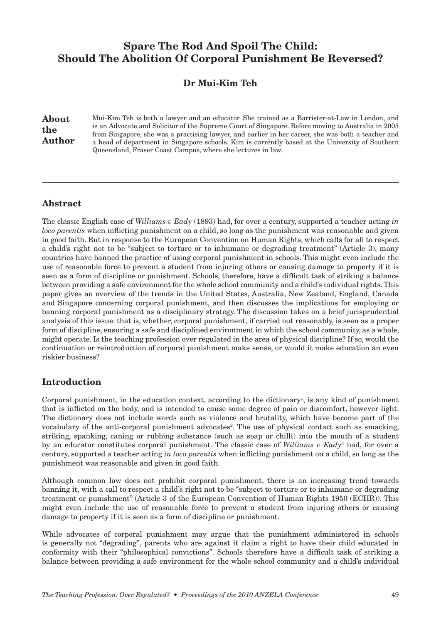## Spare The Rod And Spoil The Child: Should The Abolition Of Corporal Punishment Be Reversed?

## Dr Mui-Kim Teh

About the Author Mui-Kim Teh is both a lawyer and an educator. She trained as a Barrister-at-Law in London, and is an Advocate and Solicitor of the Supreme Court of Singapore. Before moving to Australia in 2005 from Singapore, she was a practising lawyer, and earlier in her career, she was both a teacher and a head of department in Singapore schools. Kim is currently based at the University of Southern Queensland, Fraser Coast Campus, where she lectures in law.

#### Abstract

The classic English case of *Williams v Eady* (1893) had, for over a century, supported a teacher acting *in loco parentis* when inflicting punishment on a child, so long as the punishment was reasonable and given in good faith. But in response to the European Convention on Human Rights, which calls for all to respect a child's right not to be "subject to torture or to inhumane or degrading treatment" (Article 3), many countries have banned the practice of using corporal punishment in schools. This might even include the use of reasonable force to prevent a student from injuring others or causing damage to property if it is seen as a form of discipline or punishment. Schools, therefore, have a difficult task of striking a balance between providing a safe environment for the whole school community and a child's individual rights. This paper gives an overview of the trends in the United States, Australia, New Zealand, England, Canada and Singapore concerning corporal punishment, and then discusses the implications for employing or banning corporal punishment as a disciplinary strategy. The discussion takes on a brief jurisprudential analysis of this issue: that is, whether, corporal punishment, if carried out reasonably, is seen as a proper form of discipline, ensuring a safe and disciplined environment in which the school community, as a whole, might operate. Is the teaching profession over regulated in the area of physical discipline? If so, would the continuation or reintroduction of corporal punishment make sense, or would it make education an even riskier business?

#### Introduction

Corporal punishment, in the education context, according to the dictionary<sup>1</sup>, is any kind of punishment that is inflicted on the body, and is intended to cause some degree of pain or discomfort, however light. The dictionary does not include words such as violence and brutality, which have become part of the vocabulary of the anti-corporal punishment advocates<sup>2</sup>. The use of physical contact such as smacking, striking, spanking, caning or rubbing substance (such as soap or chilli) into the mouth of a student by an educator constitutes corporal punishment. The classic case of *Williams v Eady*<sup>3</sup> had, for over a century, supported a teacher acting *in loco parentis* when inflicting punishment on a child, so long as the punishment was reasonable and given in good faith.

Although common law does not prohibit corporal punishment, there is an increasing trend towards banning it, with a call to respect a child's right not to be "subject to torture or to inhumane or degrading treatment or punishment" (Article 3 of the European Convention of Human Rights 1950 (ECHR)). This might even include the use of reasonable force to prevent a student from injuring others or causing damage to property if it is seen as a form of discipline or punishment.

While advocates of corporal punishment may argue that the punishment administered in schools is generally not "degrading", parents who are against it claim a right to have their child educated in conformity with their "philosophical convictions". Schools therefore have a difficult task of striking a balance between providing a safe environment for the whole school community and a child's individual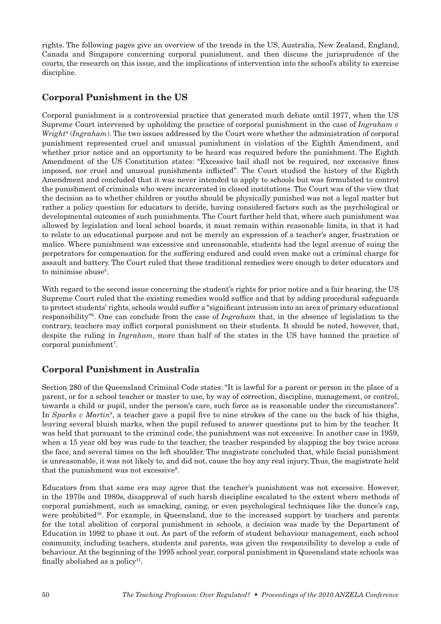rights. The following pages give an overview of the trends in the US, Australia, New Zealand, England, Canada and Singapore concerning corporal punishment, and then discuss the jurisprudence of the courts, the research on this issue, and the implications of intervention into the school's ability to exercise discipline.

## Corporal Punishment in the US

Corporal punishment is a controversial practice that generated much debate until 1977, when the US Supreme Court intervened by upholding the practice of corporal punishment in the case of *Ingraham v Wright*<sup>4</sup> (*Ingraham*). The two issues addressed by the Court were whether the administration of corporal punishment represented cruel and unusual punishment in violation of the Eighth Amendment, and whether prior notice and an opportunity to be heard was required before the punishment. The Eighth Amendment of the US Constitution states: "Excessive bail shall not be required, nor excessive fines imposed, nor cruel and unusual punishments inflicted". The Court studied the history of the Eighth Amendment and concluded that it was never intended to apply to schools but was formulated to control the punishment of criminals who were incarcerated in closed institutions. The Court was of the view that the decision as to whether children or youths should be physically punished was not a legal matter but rather a policy question for educators to decide, having considered factors such as the psychological or developmental outcomes of such punishments. The Court further held that, where such punishment was allowed by legislation and local school boards, it must remain within reasonable limits, in that it had to relate to an educational purpose and not be merely an expression of a teacher's anger, frustration or malice. Where punishment was excessive and unreasonable, students had the legal avenue of suing the perpetrators for compensation for the suffering endured and could even make out a criminal charge for assault and battery. The Court ruled that these traditional remedies were enough to deter educators and to minimise abuse<sup>5</sup>.

With regard to the second issue concerning the student's rights for prior notice and a fair hearing, the US Supreme Court ruled that the existing remedies would suffice and that by adding procedural safeguards to protect students' rights, schools would suffer a "significant intrusion into an area of primary educational responsibility"6 . One can conclude from the case of *Ingraham* that, in the absence of legislation to the contrary, teachers may inflict corporal punishment on their students. It should be noted, however, that, despite the ruling in *Ingraham*, more than half of the states in the US have banned the practice of corporal punishment<sup>7</sup>.

## Corporal Punishment in Australia

Section 280 of the Queensland Criminal Code states: "It is lawful for a parent or person in the place of a parent, or for a school teacher or master to use, by way of correction, discipline, management, or control, towards a child or pupil, under the person's care, such force as is reasonable under the circumstances". In *Sparks v Martin<sup>8</sup>* , a teacher gave a pupil five to nine strokes of the cane on the back of his thighs, leaving several bluish marks, when the pupil refused to answer questions put to him by the teacher. It was held that pursuant to the criminal code, the punishment was not excessive. In another case in 1959, when a 15 year old boy was rude to the teacher, the teacher responded by slapping the boy twice across the face, and several times on the left shoulder. The magistrate concluded that, while facial punishment is unreasonable, it was not likely to, and did not, cause the boy any real injury. Thus, the magistrate held that the punishment was not excessive9 .

Educators from that same era may agree that the teacher's punishment was not excessive. However, in the 1970s and 1980s, disapproval of such harsh discipline escalated to the extent where methods of corporal punishment, such as smacking, caning, or even psychological techniques like the dunce's cap, were prohibited<sup>10</sup>. For example, in Queensland, due to the increased support by teachers and parents for the total abolition of corporal punishment in schools, a decision was made by the Department of Education in 1992 to phase it out. As part of the reform of student behaviour management, each school community, including teachers, students and parents, was given the responsibility to develop a code of behaviour. At the beginning of the 1995 school year, corporal punishment in Queensland state schools was finally abolished as a policy<sup>11</sup>.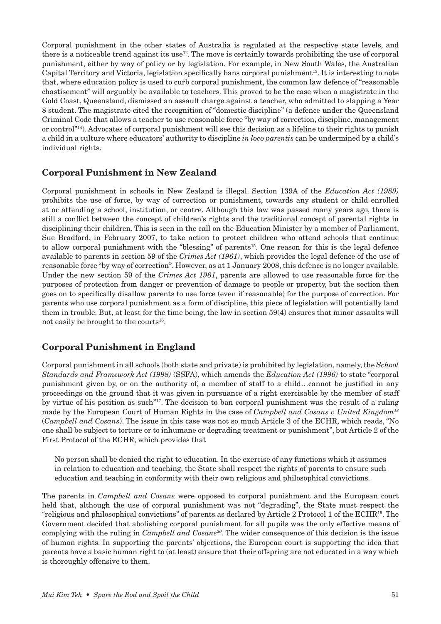Corporal punishment in the other states of Australia is regulated at the respective state levels, and there is a noticeable trend against its use $12$ . The move is certainly towards prohibiting the use of corporal punishment, either by way of policy or by legislation. For example, in New South Wales, the Australian Capital Territory and Victoria, legislation specifically bans corporal punishment<sup>13</sup>. It is interesting to note that, where education policy is used to curb corporal punishment, the common law defence of "reasonable chastisement" will arguably be available to teachers. This proved to be the case when a magistrate in the Gold Coast, Queensland, dismissed an assault charge against a teacher, who admitted to slapping a Year 8 student. The magistrate cited the recognition of "domestic discipline" (a defence under the Queensland Criminal Code that allows a teacher to use reasonable force "by way of correction, discipline, management or control"14). Advocates of corporal punishment will see this decision as a lifeline to their rights to punish a child in a culture where educators' authority to discipline *in loco parentis* can be undermined by a child's individual rights.

#### Corporal Punishment in New Zealand

Corporal punishment in schools in New Zealand is illegal. Section 139A of the *Education Act (1989)* prohibits the use of force, by way of correction or punishment, towards any student or child enrolled at or attending a school, institution, or centre. Although this law was passed many years ago, there is still a conflict between the concept of children's rights and the traditional concept of parental rights in disciplining their children. This is seen in the call on the Education Minister by a member of Parliament, Sue Bradford, in February 2007, to take action to protect children who attend schools that continue to allow corporal punishment with the "blessing" of parents15. One reason for this is the legal defence available to parents in section 59 of the *Crimes Act (1961)*, which provides the legal defence of the use of reasonable force "by way of correction". However, as at 1 January 2008, this defence is no longer available. Under the new section 59 of the *Crimes Act 1961*, parents are allowed to use reasonable force for the purposes of protection from danger or prevention of damage to people or property, but the section then goes on to specifically disallow parents to use force (even if reasonable) for the purpose of correction. For parents who use corporal punishment as a form of discipline, this piece of legislation will potentially land them in trouble. But, at least for the time being, the law in section 59(4) ensures that minor assaults will not easily be brought to the courts<sup>16</sup>.

#### Corporal Punishment in England

Corporal punishment in all schools (both state and private) is prohibited by legislation, namely, the *School Standards and Framework Act (1998)* (SSFA), which amends the *Education Act (1996)* to state "corporal punishment given by, or on the authority of, a member of staff to a child…cannot be justified in any proceedings on the ground that it was given in pursuance of a right exercisable by the member of staff by virtue of his position as such"17. The decision to ban corporal punishment was the result of a ruling made by the European Court of Human Rights in the case of *Campbell and Cosans v United Kingdom<sup>18</sup>* (*Campbell and Cosans*). The issue in this case was not so much Article 3 of the ECHR, which reads, "No one shall be subject to torture or to inhumane or degrading treatment or punishment", but Article 2 of the First Protocol of the ECHR, which provides that

No person shall be denied the right to education. In the exercise of any functions which it assumes in relation to education and teaching, the State shall respect the rights of parents to ensure such education and teaching in conformity with their own religious and philosophical convictions.

The parents in *Campbell and Cosans* were opposed to corporal punishment and the European court held that, although the use of corporal punishment was not "degrading", the State must respect the "religious and philosophical convictions" of parents as declared by Article 2 Protocol 1 of the ECHR19. The Government decided that abolishing corporal punishment for all pupils was the only effective means of complying with the ruling in *Campbell and Cosans<sup>20</sup>*. The wider consequence of this decision is the issue of human rights. In supporting the parents' objections, the European court is supporting the idea that parents have a basic human right to (at least) ensure that their offspring are not educated in a way which is thoroughly offensive to them.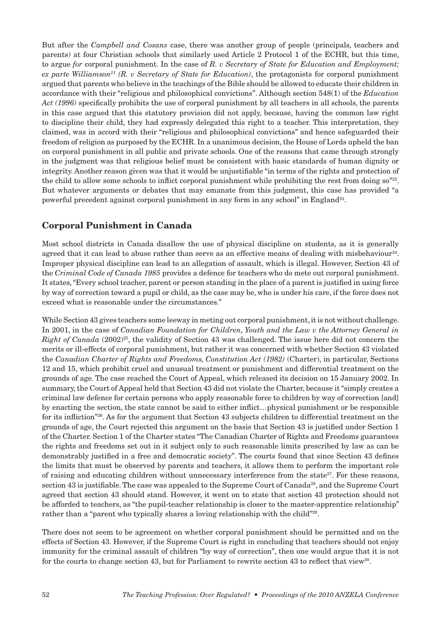But after the *Campbell and Cosans* case, there was another group of people (principals, teachers and parents) at four Christian schools that similarly used Article 2 Protocol 1 of the ECHR, but this time, to argue *for* corporal punishment. In the case of *R. v Secretary of State for Education and Employment; ex parte Williamson<sup>21</sup> (R. v Secretary of State for Education)*, the protagonists for corporal punishment argued that parents who believe in the teachings of the Bible should be allowed to educate their children in accordance with their "religious and philosophical convictions". Although section 548(1) of the *Education Act (1996)* specifically prohibits the use of corporal punishment by all teachers in all schools, the parents in this case argued that this statutory provision did not apply, because, having the common law right to discipline their child, they had expressly delegated this right to a teacher. This interpretation, they claimed, was in accord with their "religious and philosophical convictions" and hence safeguarded their freedom of religion as purposed by the ECHR. In a unanimous decision, the House of Lords upheld the ban on corporal punishment in all public and private schools. One of the reasons that came through strongly in the judgment was that religious belief must be consistent with basic standards of human dignity or integrity. Another reason given was that it would be unjustifiable "in terms of the rights and protection of the child to allow some schools to inflict corporal punishment while prohibiting the rest from doing  $\text{so}^{\text{22}}$ . But whatever arguments or debates that may emanate from this judgment, this case has provided "a powerful precedent against corporal punishment in any form in any school" in England<sup>23</sup>.

## Corporal Punishment in Canada

Most school districts in Canada disallow the use of physical discipline on students, as it is generally agreed that it can lead to abuse rather than serve as an effective means of dealing with misbehaviour<sup>24</sup>. Improper physical discipline can lead to an allegation of assault, which is illegal. However, Section 43 of the *Criminal Code of Canada 1985* provides a defence for teachers who do mete out corporal punishment. It states, "Every school teacher, parent or person standing in the place of a parent is justified in using force by way of correction toward a pupil or child, as the case may be, who is under his care, if the force does not exceed what is reasonable under the circumstances."

While Section 43 gives teachers some leeway in meting out corporal punishment, it is not without challenge. In 2001, in the case of *Canadian Foundation for Children, Youth and the Law v the Attorney General in Right of Canada* (2002)<sup>25</sup>, the validity of Section 43 was challenged. The issue here did not concern the merits or ill-effects of corporal punishment, but rather it was concerned with whether Section 43 violated the *Canadian Charter of Rights and Freedoms, Constitution Act (1982)* (Charter), in particular, Sections 12 and 15, which prohibit cruel and unusual treatment or punishment and differential treatment on the grounds of age. The case reached the Court of Appeal, which released its decision on 15 January 2002. In summary, the Court of Appeal held that Section 43 did not violate the Charter, because it "simply creates a criminal law defence for certain persons who apply reasonable force to children by way of correction [and] by enacting the section, the state cannot be said to either inflict…physical punishment or be responsible for its infliction"26. As for the argument that Section 43 subjects children to differential treatment on the grounds of age, the Court rejected this argument on the basis that Section 43 is justified under Section 1 of the Charter. Section 1 of the Charter states "The Canadian Charter of Rights and Freedoms guarantees the rights and freedoms set out in it subject only to such reasonable limits prescribed by law as can be demonstrably justified in a free and democratic society". The courts found that since Section 43 defines the limits that must be observed by parents and teachers, it allows them to perform the important role of raising and educating children without unnecessary interference from the state<sup>27</sup>. For these reasons, section 43 is justifiable. The case was appealed to the Supreme Court of Canada<sup>28</sup>, and the Supreme Court agreed that section 43 should stand. However, it went on to state that section 43 protection should not be afforded to teachers, as "the pupil-teacher relationship is closer to the master-apprentice relationship" rather than a "parent who typically shares a loving relationship with the child"29.

There does not seem to be agreement on whether corporal punishment should be permitted and on the effects of Section 43. However, if the Supreme Court is right in concluding that teachers should not enjoy immunity for the criminal assault of children "by way of correction", then one would argue that it is not for the courts to change section 43, but for Parliament to rewrite section 43 to reflect that view<sup>30</sup>.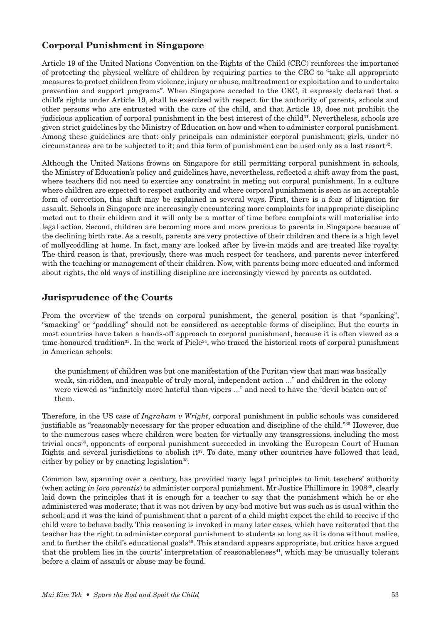## Corporal Punishment in Singapore

Article 19 of the United Nations Convention on the Rights of the Child (CRC) reinforces the importance of protecting the physical welfare of children by requiring parties to the CRC to "take all appropriate measures to protect children from violence, injury or abuse, maltreatment or exploitation and to undertake prevention and support programs". When Singapore acceded to the CRC, it expressly declared that a child's rights under Article 19, shall be exercised with respect for the authority of parents, schools and other persons who are entrusted with the care of the child, and that Article 19, does not prohibit the judicious application of corporal punishment in the best interest of the child $31$ . Nevertheless, schools are given strict guidelines by the Ministry of Education on how and when to administer corporal punishment. Among these guidelines are that: only principals can administer corporal punishment; girls, under no circumstances are to be subjected to it; and this form of punishment can be used only as a last resort<sup>32</sup>.

Although the United Nations frowns on Singapore for still permitting corporal punishment in schools, the Ministry of Education's policy and guidelines have, nevertheless, reflected a shift away from the past, where teachers did not need to exercise any constraint in meting out corporal punishment. In a culture where children are expected to respect authority and where corporal punishment is seen as an acceptable form of correction, this shift may be explained in several ways. First, there is a fear of litigation for assault. Schools in Singapore are increasingly encountering more complaints for inappropriate discipline meted out to their children and it will only be a matter of time before complaints will materialise into legal action. Second, children are becoming more and more precious to parents in Singapore because of the declining birth rate. As a result, parents are very protective of their children and there is a high level of mollycoddling at home. In fact, many are looked after by live-in maids and are treated like royalty. The third reason is that, previously, there was much respect for teachers, and parents never interfered with the teaching or management of their children. Now, with parents being more educated and informed about rights, the old ways of instilling discipline are increasingly viewed by parents as outdated.

#### Jurisprudence of the Courts

From the overview of the trends on corporal punishment, the general position is that "spanking", "smacking" or "paddling" should not be considered as acceptable forms of discipline. But the courts in most countries have taken a hands-off approach to corporal punishment, because it is often viewed as a time-honoured tradition<sup>33</sup>. In the work of Piele<sup>34</sup>, who traced the historical roots of corporal punishment in American schools:

the punishment of children was but one manifestation of the Puritan view that man was basically weak, sin-ridden, and incapable of truly moral, independent action ..." and children in the colony were viewed as "infinitely more hateful than vipers ..." and need to have the "devil beaten out of them.

Therefore, in the US case of *Ingraham v Wright*, corporal punishment in public schools was considered justifiable as "reasonably necessary for the proper education and discipline of the child."35 However, due to the numerous cases where children were beaten for virtually any transgressions, including the most trivial ones<sup>36</sup>, opponents of corporal punishment succeeded in invoking the European Court of Human Rights and several jurisdictions to abolish it<sup>37</sup>. To date, many other countries have followed that lead, either by policy or by enacting legislation<sup>38</sup>.

Common law, spanning over a century, has provided many legal principles to limit teachers' authority (when acting *in loco parentis*) to administer corporal punishment. Mr Justice Phillimore in 190839, clearly laid down the principles that it is enough for a teacher to say that the punishment which he or she administered was moderate; that it was not driven by any bad motive but was such as is usual within the school; and it was the kind of punishment that a parent of a child might expect the child to receive if the child were to behave badly. This reasoning is invoked in many later cases, which have reiterated that the teacher has the right to administer corporal punishment to students so long as it is done without malice, and to further the child's educational goals<sup>40</sup>. This standard appears appropriate, but critics have argued that the problem lies in the courts' interpretation of reasonableness $41$ , which may be unusually tolerant before a claim of assault or abuse may be found.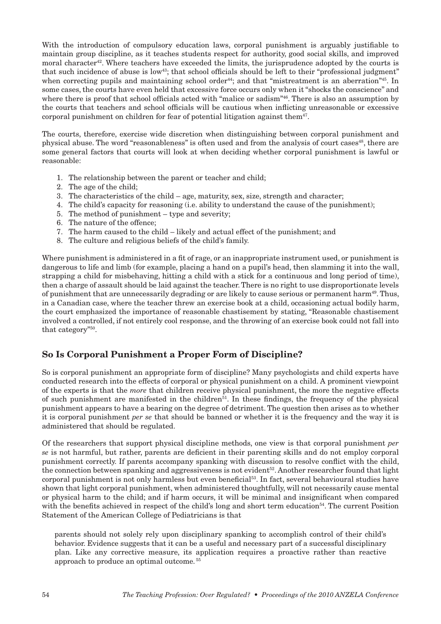With the introduction of compulsory education laws, corporal punishment is arguably justifiable to maintain group discipline, as it teaches students respect for authority, good social skills, and improved moral character<sup>42</sup>. Where teachers have exceeded the limits, the jurisprudence adopted by the courts is that such incidence of abuse is low<sup>43</sup>; that school officials should be left to their "professional judgment" when correcting pupils and maintaining school order<sup>44</sup>; and that "mistreatment is an aberration"<sup>45</sup>. In some cases, the courts have even held that excessive force occurs only when it "shocks the conscience" and where there is proof that school officials acted with "malice or sadism"<sup>46</sup>. There is also an assumption by the courts that teachers and school officials will be cautious when inflicting unreasonable or excessive corporal punishment on children for fear of potential litigation against them<sup>47</sup>.

The courts, therefore, exercise wide discretion when distinguishing between corporal punishment and physical abuse. The word "reasonableness" is often used and from the analysis of court cases<sup>48</sup>, there are some general factors that courts will look at when deciding whether corporal punishment is lawful or reasonable:

- 1. The relationship between the parent or teacher and child;
- 2. The age of the child;
- 3. The characteristics of the child age, maturity, sex, size, strength and character;
- 4. The child's capacity for reasoning (i.e. ability to understand the cause of the punishment);
- 5. The method of punishment type and severity;
- 6. The nature of the offence;
- 7. The harm caused to the child likely and actual effect of the punishment; and
- 8. The culture and religious beliefs of the child's family.

Where punishment is administered in a fit of rage, or an inappropriate instrument used, or punishment is dangerous to life and limb (for example, placing a hand on a pupil's head, then slamming it into the wall, strapping a child for misbehaving, hitting a child with a stick for a continuous and long period of time), then a charge of assault should be laid against the teacher. There is no right to use disproportionate levels of punishment that are unnecessarily degrading or are likely to cause serious or permanent harm<sup>49</sup>. Thus, in a Canadian case, where the teacher threw an exercise book at a child, occasioning actual bodily harm, the court emphasized the importance of reasonable chastisement by stating, "Reasonable chastisement involved a controlled, if not entirely cool response, and the throwing of an exercise book could not fall into that category"50.

## So Is Corporal Punishment a Proper Form of Discipline?

So is corporal punishment an appropriate form of discipline? Many psychologists and child experts have conducted research into the effects of corporal or physical punishment on a child. A prominent viewpoint of the experts is that the *more* that children receive physical punishment, the more the negative effects of such punishment are manifested in the children<sup>51</sup>. In these findings, the frequency of the physical punishment appears to have a bearing on the degree of detriment. The question then arises as to whether it is corporal punishment *per se* that should be banned or whether it is the frequency and the way it is administered that should be regulated.

Of the researchers that support physical discipline methods, one view is that corporal punishment *per se* is not harmful, but rather, parents are deficient in their parenting skills and do not employ corporal punishment correctly. If parents accompany spanking with discussion to resolve conflict with the child, the connection between spanking and aggressiveness is not evident52. Another researcher found that light corporal punishment is not only harmless but even beneficial53. In fact, several behavioural studies have shown that light corporal punishment, when administered thoughtfully, will not necessarily cause mental or physical harm to the child; and if harm occurs, it will be minimal and insignificant when compared with the benefits achieved in respect of the child's long and short term education<sup>54</sup>. The current Position Statement of the American College of Pediatricians is that

parents should not solely rely upon disciplinary spanking to accomplish control of their child's behavior. Evidence suggests that it can be a useful and necessary part of a successful disciplinary plan. Like any corrective measure, its application requires a proactive rather than reactive approach to produce an optimal outcome. 55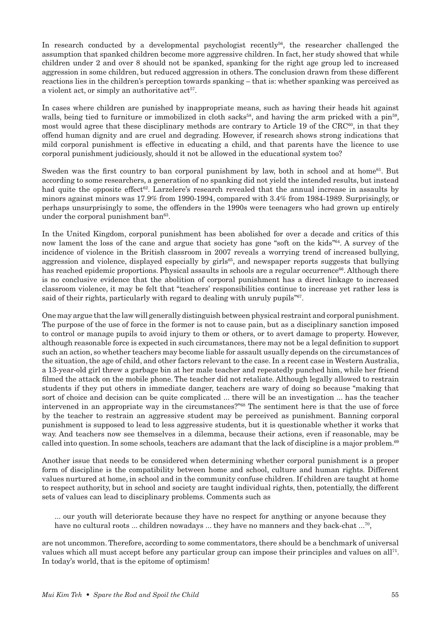In research conducted by a developmental psychologist recently<sup>56</sup>, the researcher challenged the assumption that spanked children become more aggressive children. In fact, her study showed that while children under 2 and over 8 should not be spanked, spanking for the right age group led to increased aggression in some children, but reduced aggression in others. The conclusion drawn from these different reactions lies in the children's perception towards spanking – that is: whether spanking was perceived as a violent act, or simply an authoritative act<sup>57</sup>.

In cases where children are punished by inappropriate means, such as having their heads hit against walls, being tied to furniture or immobilized in cloth sacks<sup>58</sup>, and having the arm pricked with a pin<sup>59</sup>, most would agree that these disciplinary methods are contrary to Article 19 of the  $CRC^{60}$ , in that they offend human dignity and are cruel and degrading. However, if research shows strong indications that mild corporal punishment is effective in educating a child, and that parents have the licence to use corporal punishment judiciously, should it not be allowed in the educational system too?

Sweden was the first country to ban corporal punishment by law, both in school and at home<sup>61</sup>. But according to some researchers, a generation of no spanking did not yield the intended results, but instead had quite the opposite effect<sup>62</sup>. Larzelere's research revealed that the annual increase in assaults by minors against minors was 17.9% from 1990-1994, compared with 3.4% from 1984-1989. Surprisingly, or perhaps unsurprisingly to some, the offenders in the 1990s were teenagers who had grown up entirely under the corporal punishment ban<sup>63</sup>.

In the United Kingdom, corporal punishment has been abolished for over a decade and critics of this now lament the loss of the cane and argue that society has gone "soft on the kids"64. A survey of the incidence of violence in the British classroom in 2007 reveals a worrying trend of increased bullying, aggression and violence, displayed especially by girls<sup>65</sup>, and newspaper reports suggests that bullying has reached epidemic proportions. Physical assaults in schools are a regular occurrence<sup>66</sup>. Although there is no conclusive evidence that the abolition of corporal punishment has a direct linkage to increased classroom violence, it may be felt that "teachers' responsibilities continue to increase yet rather less is said of their rights, particularly with regard to dealing with unruly pupils"<sup>67</sup>.

One may argue that the law will generally distinguish between physical restraint and corporal punishment. The purpose of the use of force in the former is not to cause pain, but as a disciplinary sanction imposed to control or manage pupils to avoid injury to them or others, or to avert damage to property. However, although reasonable force is expected in such circumstances, there may not be a legal definition to support such an action, so whether teachers may become liable for assault usually depends on the circumstances of the situation, the age of child, and other factors relevant to the case. In a recent case in Western Australia, a 13-year-old girl threw a garbage bin at her male teacher and repeatedly punched him, while her friend filmed the attack on the mobile phone. The teacher did not retaliate. Although legally allowed to restrain students if they put others in immediate danger, teachers are wary of doing so because "making that sort of choice and decision can be quite complicated ... there will be an investigation ... has the teacher intervened in an appropriate way in the circumstances?"68 The sentiment here is that the use of force by the teacher to restrain an aggressive student may be perceived as punishment. Banning corporal punishment is supposed to lead to less aggressive students, but it is questionable whether it works that way. And teachers now see themselves in a dilemma, because their actions, even if reasonable, may be called into question. In some schools, teachers are adamant that the lack of discipline is a major problem.<sup>69</sup>

Another issue that needs to be considered when determining whether corporal punishment is a proper form of discipline is the compatibility between home and school, culture and human rights. Different values nurtured at home, in school and in the community confuse children. If children are taught at home to respect authority, but in school and society are taught individual rights, then, potentially, the different sets of values can lead to disciplinary problems. Comments such as

... our youth will deteriorate because they have no respect for anything or anyone because they have no cultural roots ... children nowadays ... they have no manners and they back-chat ...<sup>70</sup>,

are not uncommon. Therefore, according to some commentators, there should be a benchmark of universal values which all must accept before any particular group can impose their principles and values on all71. In today's world, that is the epitome of optimism!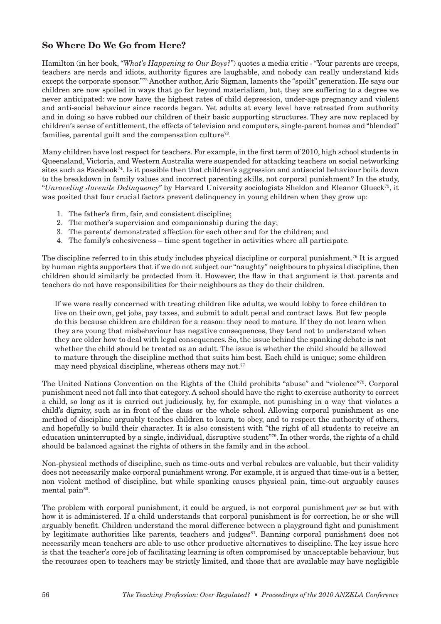## So Where Do We Go from Here?

Hamilton (in her book, *"What's Happening to Our Boys?"*) quotes a media critic - "Your parents are creeps, teachers are nerds and idiots, authority figures are laughable, and nobody can really understand kids except the corporate sponsor."72 Another author, Aric Sigman, laments the "spoilt" generation. He says our children are now spoiled in ways that go far beyond materialism, but, they are suffering to a degree we never anticipated: we now have the highest rates of child depression, under-age pregnancy and violent and anti-social behaviour since records began. Yet adults at every level have retreated from authority and in doing so have robbed our children of their basic supporting structures. They are now replaced by children's sense of entitlement, the effects of television and computers, single-parent homes and "blended" families, parental guilt and the compensation culture<sup> $73$ </sup>.

Many children have lost respect for teachers. For example, in the first term of 2010, high school students in Queensland, Victoria, and Western Australia were suspended for attacking teachers on social networking sites such as Facebook74. Is it possible then that children's aggression and antisocial behaviour boils down to the breakdown in family values and incorrect parenting skills, not corporal punishment? In the study, "*Unraveling Juvenile Delinquency*" by Harvard University sociologists Sheldon and Eleanor Glueck75, it was posited that four crucial factors prevent delinquency in young children when they grow up:

- 1. The father's firm, fair, and consistent discipline;
- 2. The mother's supervision and companionship during the day;
- 3. The parents' demonstrated affection for each other and for the children; and
- 4. The family's cohesiveness time spent together in activities where all participate.

The discipline referred to in this study includes physical discipline or corporal punishment.76 It is argued by human rights supporters that if we do not subject our "naughty" neighbours to physical discipline, then children should similarly be protected from it. However, the flaw in that argument is that parents and teachers do not have responsibilities for their neighbours as they do their children.

If we were really concerned with treating children like adults, we would lobby to force children to live on their own, get jobs, pay taxes, and submit to adult penal and contract laws. But few people do this because children are children for a reason: they need to mature. If they do not learn when they are young that misbehaviour has negative consequences, they tend not to understand when they are older how to deal with legal consequences. So, the issue behind the spanking debate is not whether the child should be treated as an adult. The issue is whether the child should be allowed to mature through the discipline method that suits him best. Each child is unique; some children may need physical discipline, whereas others may not.<sup>77</sup>

The United Nations Convention on the Rights of the Child prohibits "abuse" and "violence"78. Corporal punishment need not fall into that category. A school should have the right to exercise authority to correct a child, so long as it is carried out judiciously, by, for example, not punishing in a way that violates a child's dignity, such as in front of the class or the whole school. Allowing corporal punishment as one method of discipline arguably teaches children to learn, to obey, and to respect the authority of others, and hopefully to build their character. It is also consistent with "the right of all students to receive an education uninterrupted by a single, individual, disruptive student"79. In other words, the rights of a child should be balanced against the rights of others in the family and in the school.

Non-physical methods of discipline, such as time-outs and verbal rebukes are valuable, but their validity does not necessarily make corporal punishment wrong. For example, it is argued that time-out is a better, non violent method of discipline, but while spanking causes physical pain, time-out arguably causes mental pain<sup>80</sup>.

The problem with corporal punishment, it could be argued, is not corporal punishment *per se* but with how it is administered. If a child understands that corporal punishment is for correction, he or she will arguably benefit. Children understand the moral difference between a playground fight and punishment by legitimate authorities like parents, teachers and judges<sup>81</sup>. Banning corporal punishment does not necessarily mean teachers are able to use other productive alternatives to discipline. The key issue here is that the teacher's core job of facilitating learning is often compromised by unacceptable behaviour, but the recourses open to teachers may be strictly limited, and those that are available may have negligible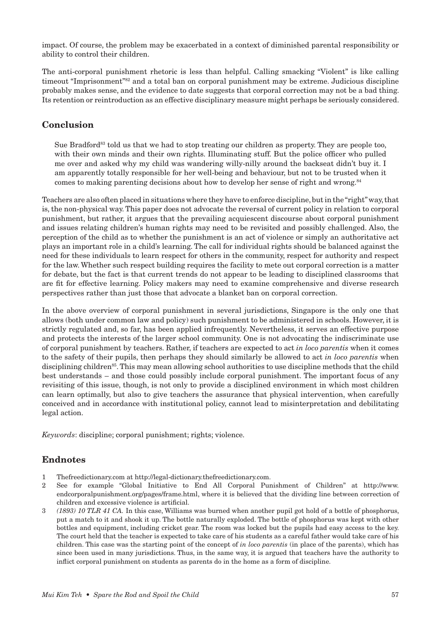impact. Of course, the problem may be exacerbated in a context of diminished parental responsibility or ability to control their children.

The anti-corporal punishment rhetoric is less than helpful. Calling smacking "Violent" is like calling timeout "Imprisonment"<sup>82</sup> and a total ban on corporal punishment may be extreme. Judicious discipline probably makes sense, and the evidence to date suggests that corporal correction may not be a bad thing. Its retention or reintroduction as an effective disciplinary measure might perhaps be seriously considered.

## Conclusion

Sue Bradford<sup>83</sup> told us that we had to stop treating our children as property. They are people too, with their own minds and their own rights. Illuminating stuff. But the police officer who pulled me over and asked why my child was wandering willy-nilly around the backseat didn't buy it. I am apparently totally responsible for her well-being and behaviour, but not to be trusted when it comes to making parenting decisions about how to develop her sense of right and wrong.<sup>84</sup>

Teachers are also often placed in situations where they have to enforce discipline, but in the "right" way, that is, the non-physical way. This paper does not advocate the reversal of current policy in relation to corporal punishment, but rather, it argues that the prevailing acquiescent discourse about corporal punishment and issues relating children's human rights may need to be revisited and possibly challenged. Also, the perception of the child as to whether the punishment is an act of violence or simply an authoritative act plays an important role in a child's learning. The call for individual rights should be balanced against the need for these individuals to learn respect for others in the community, respect for authority and respect for the law. Whether such respect building requires the facility to mete out corporal correction is a matter for debate, but the fact is that current trends do not appear to be leading to disciplined classrooms that are fit for effective learning. Policy makers may need to examine comprehensive and diverse research perspectives rather than just those that advocate a blanket ban on corporal correction.

In the above overview of corporal punishment in several jurisdictions, Singapore is the only one that allows (both under common law and policy) such punishment to be administered in schools. However, it is strictly regulated and, so far, has been applied infrequently. Nevertheless, it serves an effective purpose and protects the interests of the larger school community. One is not advocating the indiscriminate use of corporal punishment by teachers. Rather, if teachers are expected to act *in loco parentis* when it comes to the safety of their pupils, then perhaps they should similarly be allowed to act *in loco parentis* when disciplining children<sup>85</sup>. This may mean allowing school authorities to use discipline methods that the child best understands – and those could possibly include corporal punishment. The important focus of any revisiting of this issue, though, is not only to provide a disciplined environment in which most children can learn optimally, but also to give teachers the assurance that physical intervention, when carefully conceived and in accordance with institutional policy, cannot lead to misinterpretation and debilitating legal action.

*Keywords*: discipline; corporal punishment; rights; violence.

## Endnotes

- 1 Thefreedictionary.com at http://legal-dictionary.thefreedictionary.com.
- 2 See for example "Global Initiative to End All Corporal Punishment of Children" at http://www. endcorporalpunishment.org/pages/frame.html, where it is believed that the dividing line between correction of children and excessive violence is artificial.
- 3 *(1893) 10 TLR 41 CA.* In this case, Williams was burned when another pupil got hold of a bottle of phosphorus, put a match to it and shook it up. The bottle naturally exploded. The bottle of phosphorus was kept with other bottles and equipment, including cricket gear. The room was locked but the pupils had easy access to the key. The court held that the teacher is expected to take care of his students as a careful father would take care of his children. This case was the starting point of the concept of *in loco parentis* (in place of the parents), which has since been used in many jurisdictions. Thus, in the same way, it is argued that teachers have the authority to inflict corporal punishment on students as parents do in the home as a form of discipline.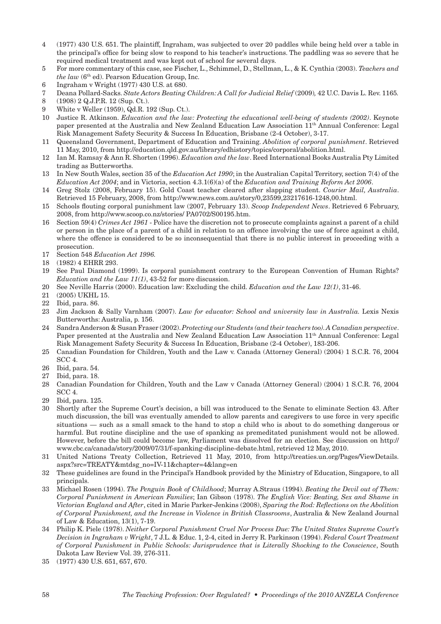- 4 (1977) 430 U.S. 651. The plaintiff, Ingraham, was subjected to over 20 paddles while being held over a table in the principal's office for being slow to respond to his teacher's instructions. The paddling was so severe that he required medical treatment and was kept out of school for several days.
- 5 For more commentary of this case, see Fischer, L., Schimmel, D., Stellman, L., & K. Cynthia (2003). *Teachers and the law* (6<sup>th</sup> ed). Pearson Education Group, Inc.
- 6 Ingraham v Wright (1977) 430 U.S. at 680.
- 7 Deana Pollard-Sacks. *State Actors Beating Children: A Call for Judicial Relief* (2009)*,* 42 U.C. Davis L. Rev. 1165*.*
- 8 (1908) 2 Q.J.P.R. 12 (Sup. Ct.).
- 9 White v Weller (1959), Qd.R. 192 (Sup. Ct.).
- 10 Justice R. Atkinson. *Education and the law: Protecting the educational well-being of students (2002)*. Keynote paper presented at the Australia and New Zealand Education Law Association 11th Annual Conference: Legal Risk Management Safety Security & Success In Education, Brisbane (2-4 October), 3-17.
- 11 Queensland Government, Department of Education and Training. *Abolition of corporal punishment*. Retrieved 11 May, 2010, from http://education.qld.gov.au/library/edhistory/topics/corporal/abolition.html.
- 12 Ian M. Ramsay & Ann R. Shorten (1996). *Education and the law*. Reed International Books Australia Pty Limited trading as Butterworths.
- 13 In New South Wales, section 35 of the *Education Act 1990*; in the Australian Capital Territory, section 7(4) of the *Education Act 2004*; and in Victoria, section 4.3.1(6)(a) of the *Education and Training Reform Act 2006*.
- 14 Greg Stolz (2008, February 15). Gold Coast teacher cleared after slapping student. *Courier Mail, Australia*. Retrieved 15 February, 2008, from http://www.news.com.au/story/0,23599,23217616-1248,00.html.
- 15 Schools flouting corporal punishment law (2007, February 13). *Scoop Independent News*. Retrieved 6 February, 2008, from http://www.scoop.co.nz/stories/ PA0702/S00195.htm.
- 16 Section 59(4) *Crimes Act 1961* Police have the discretion not to prosecute complaints against a parent of a child or person in the place of a parent of a child in relation to an offence involving the use of force against a child, where the offence is considered to be so inconsequential that there is no public interest in proceeding with a prosecution.
- 17 Section 548 *Education Act 1996.*
- 18 (1982) 4 EHRR 293.
- 19 See Paul Diamond (1999). Is corporal punishment contrary to the European Convention of Human Rights? *Education and the Law 11(1)*, 43-52 for more discussion.
- 20 See Neville Harris (2000). Education law: Excluding the child. *Education and the Law 12(1)*, 31-46.
- 21 (2005) UKHL 15.
- 22 Ibid, para. 86.
- 23 Jim Jackson & Sally Varnham (2007). *Law for educator: School and university law in Australia*. Lexis Nexis Butterworths: Australia, p. 156.
- 24 Sandra Anderson & Susan Fraser (2002). *Protecting our Students (and their teachers too). A Canadian perspective*. Paper presented at the Australia and New Zealand Education Law Association 11th Annual Conference: Legal Risk Management Safety Security & Success In Education, Brisbane (2-4 October), 183-206.
- 25 Canadian Foundation for Children, Youth and the Law v. Canada (Attorney General) (2004) 1 S.C.R. 76, 2004 SCC 4.
- 26 Ibid, para. 54.
- 27 Ibid, para. 18.
- 28 Canadian Foundation for Children, Youth and the Law v Canada (Attorney General) (2004) 1 S.C.R. 76, 2004 SCC 4.
- 29 Ibid, para. 125.
- 30 Shortly after the Supreme Court's decision, a bill was introduced to the Senate to eliminate Section 43. After much discussion, the bill was eventually amended to allow parents and caregivers to use force in very specific situations — such as a small smack to the hand to stop a child who is about to do something dangerous or harmful. But routine discipline and the use of spanking as premeditated punishment would not be allowed. However, before the bill could become law, Parliament was dissolved for an election. See discussion on http:// www.cbc.ca/canada/story/2009/07/31/f-spanking-discipline-debate.html, retrieved 12 May, 2010.
- 31 United Nations Treaty Collection, Retrieved 11 May, 2010, from http://treaties.un.org/Pages/ViewDetails. aspx?src=TREATY&mtdsg\_no=IV-11&chapter=4&lang=en
- 32 These guidelines are found in the Principal's Handbook provided by the Ministry of Education, Singapore, to all principals.
- 33 Michael Rosen (1994). *The Penguin Book of Childhood*; Murray A.Straus (1994). *Beating the Devil out of Them: Corporal Punishment in American Families*; Ian Gibson (1978). *The English Vice: Beating, Sex and Shame in Victorian England and After*, cited in Marie Parker-Jenkins (2008), *Sparing the Rod: Reflections on the Abolition of Corporal Punishment, and the Increase in Violence in British Classrooms*, Australia & New Zealand Journal of Law & Education, 13(1), 7-19.
- 34 Philip K. Piele (1978). *Neither Corporal Punishment Cruel Nor Process Due: The United States Supreme Court's Decision in Ingraham v Wright*, 7 J.L. & Educ. 1, 2-4, cited in Jerry R. Parkinson (1994). *Federal Court Treatment of Corporal Punishment in Public Schools: Jurisprudence that is Literally Shocking to the Conscience*, South Dakota Law Review Vol. 39, 276-311.
- 35 (1977) 430 U.S. 651, 657, 670.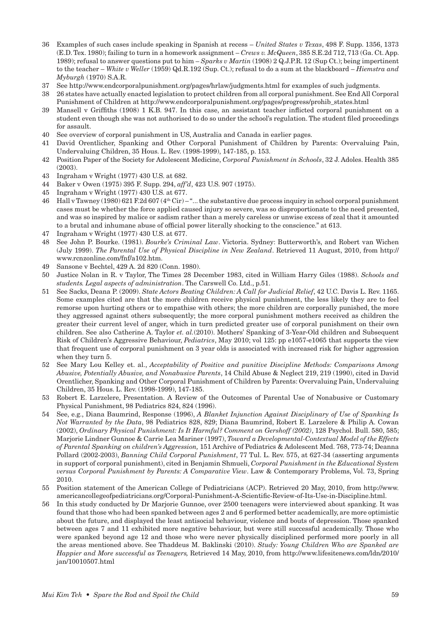- 36 Examples of such cases include speaking in Spanish at recess *United States v Texas*, 498 F. Supp. 1356, 1373 (E.D. Tex. 1980); failing to turn in a homework assignment – *Crews v. McQueen*, 385 S.E.2d 712, 713 (Ga. Ct. App. 1989); refusal to answer questions put to him – *Sparks v Martin* (1908) 2 Q.J.P.R. 12 (Sup Ct.); being impertinent to the teacher – *White v Weller* (1959) Qd.R.192 (Sup. Ct.); refusal to do a sum at the blackboard – *Hiemstra and Myburgh* (1970) S.A.R.
- 37 See http://www.endcorporalpunishment.org/pages/hrlaw/judgments.html for examples of such judgments.
- 38 26 states have actually enacted legislation to protect children from all corporal punishment. See End All Corporal Punishment of Children at http://www.endcorporalpunishment.org/pages/progress/prohib\_states.html
- 39 Mansell v Griffiths (1908) 1 K.B. 947. In this case, an assistant teacher inflicted corporal punishment on a student even though she was not authorised to do so under the school's regulation. The student filed proceedings for assault.
- 40 See overview of corporal punishment in US, Australia and Canada in earlier pages.
- 41 David Orentlicher, Spanking and Other Corporal Punishment of Children by Parents: Overvaluing Pain, Undervaluing Children, 35 Hous. L. Rev. (1998-1999), 147-185, p. 153.
- 42 Position Paper of the Society for Adolescent Medicine, *Corporal Punishment in Schools*, 32 J. Adoles. Health 385 (2003).
- 43 Ingraham v Wright (1977) 430 U.S. at 682.
- 44 Baker v Owen (1975) 395 F. Supp. 294, *aff'd*, 423 U.S. 907 (1975).
- 45 Ingraham v Wright (1977) 430 U.S. at 677.
- 46 Hall v Tawney (1980) 621 F.2d 607 (4th Cir) "... the substantive due process inquiry in school corporal punishment cases must be whether the force applied caused injury so severe, was so disproportionate to the need presented, and was so inspired by malice or sadism rather than a merely careless or unwise excess of zeal that it amounted to a brutal and inhumane abuse of official power literally shocking to the conscience." at 613.
- 47 Ingraham v Wright (1977) 430 U.S. at 677.
- 48 See John P. Bourke. (1981). *Bourke's Criminal Law*. Victoria. Sydney: Butterworth's, and Robert van Wichen (July 1999). *The Parental Use of Physical Discipline in New Zealand*. Retrieved 11 August, 2010, from http:// www.rcnzonline.com/fnf/a102.htm.
- 49 Sansone v Bechtel, 429 A. 2d 820 (Conn. 1980).
- 50 Justice Nolan in R. v Taylor, The Times 28 December 1983, cited in William Harry Giles (1988). *Schools and students. Legal aspects of administration*. The Carswell Co. Ltd., p.51.
- 51 See Sacks, Deana P. (2009). *State Actors Beating Children: A Call for Judicial Relief*, 42 U.C. Davis L. Rev. 1165. Some examples cited are that the more children receive physical punishment, the less likely they are to feel remorse upon hurting others or to empathise with others; the more children are corporally punished, the more they aggressed against others subsequently; the more corporal punishment mothers received as children the greater their current level of anger, which in turn predicted greater use of corporal punishment on their own children. See also Catherine A. Taylor *et. al.*(2010). Mothers' Spanking of 3-Year-Old children and Subsequent Risk of Children's Aggressive Behaviour, *Pediatrics*, May 2010; vol 125: pp e1057-e1065 that supports the view that frequent use of corporal punishment on 3 year olds is associated with increased risk for higher aggression when they turn 5.
- 52 See Mary Lou Kelley et. al., *Acceptability of Positive and punitive Discipline Methods: Comparisons Among Abusive, Potentially Abusive, and Nonabusive Parents*, 14 Child Abuse & Neglect 219, 219 (1990), cited in David Orentlicher, Spanking and Other Corporal Punishment of Children by Parents: Overvaluing Pain, Undervaluing Children, 35 Hous. L. Rev. (1998-1999), 147-185.
- 53 Robert E. Larzelere, Presentation. A Review of the Outcomes of Parental Use of Nonabusive or Customary Physical Punishment, 98 Pediatrics 824, 824 (1996).
- 54 See, e.g., Diana Baumrind, Response (1996), *A Blanket Injunction Against Disciplinary of Use of Spanking Is Not Warranted by the Data*, 98 Pediatrics 828, 829; Diana Baumrind, Robert E. Larzelere & Philip A. Cowan (2002), *Ordinary Physical Punishment: Is It Harmful? Comment on Gershoff (2002)*, 128 Psychol. Bull. 580, 585; Marjorie Lindner Gunnoe & Carrie Lea Mariner (1997), *Toward a Developmental-Contextual Model of the Effects of Parental Spanking on children's Aggression,* 151 Archive of Pediatrics & Adolescent Med. 768, 773-74; Deanna Pollard (2002-2003), *Banning Child Corporal Punishment*, 77 Tul. L. Rev. 575, at 627-34 (asserting arguments in support of corporal punishment), cited in Benjamin Shmueli, *Corporal Punishment in the Educational System versus Corporal Punishment by Parents: A Comparative View*. Law & Contemporary Problems, Vol. 73, Spring 2010.
- 55 Position statement of the American College of Pediatricians (ACP). Retrieved 20 May, 2010, from http://www. americancollegeofpediatricians.org/Corporal-Punishment-A-Scientific-Review-of-Its-Use-in-Discipline.html.
- 56 In this study conducted by Dr Marjorie Gunnoe, over 2500 teenagers were interviewed about spanking. It was found that those who had been spanked between ages 2 and 6 performed better academically, are more optimistic about the future, and displayed the least antisocial behaviour, violence and bouts of depression. Those spanked between ages 7 and 11 exhibited more negative behaviour, but were still successful academically. Those who were spanked beyond age 12 and those who were never physically disciplined performed more poorly in all the areas mentioned above. See Thaddeus M. Baklinski (2010). *Study: Young Children Who are Spanked are Happier and More successful as Teenagers,* Retrieved 14 May, 2010, from http://www.lifesitenews.com/ldn/2010/ jan/10010507.html